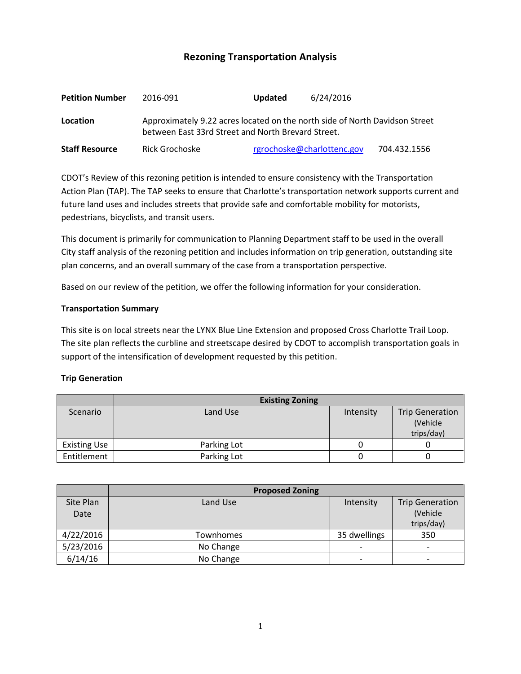# **Rezoning Transportation Analysis**

| <b>Petition Number</b> | 2016-091                                                                                                                          | <b>Updated</b> | 6/24/2016                  |              |  |  |
|------------------------|-----------------------------------------------------------------------------------------------------------------------------------|----------------|----------------------------|--------------|--|--|
| Location               | Approximately 9.22 acres located on the north side of North Davidson Street<br>between East 33rd Street and North Brevard Street. |                |                            |              |  |  |
| <b>Staff Resource</b>  | Rick Grochoske                                                                                                                    |                | rgrochoske@charlottenc.gov | 704.432.1556 |  |  |

CDOT's Review of this rezoning petition is intended to ensure consistency with the Transportation Action Plan (TAP). The TAP seeks to ensure that Charlotte's transportation network supports current and future land uses and includes streets that provide safe and comfortable mobility for motorists, pedestrians, bicyclists, and transit users.

This document is primarily for communication to Planning Department staff to be used in the overall City staff analysis of the rezoning petition and includes information on trip generation, outstanding site plan concerns, and an overall summary of the case from a transportation perspective.

Based on our review of the petition, we offer the following information for your consideration.

#### **Transportation Summary**

This site is on local streets near the LYNX Blue Line Extension and proposed Cross Charlotte Trail Loop. The site plan reflects the curbline and streetscape desired by CDOT to accomplish transportation goals in support of the intensification of development requested by this petition.

#### **Trip Generation**

|                     | <b>Existing Zoning</b> |           |                                                  |  |
|---------------------|------------------------|-----------|--------------------------------------------------|--|
| Scenario            | Land Use               | Intensity | <b>Trip Generation</b><br>(Vehicle<br>trips/day) |  |
| <b>Existing Use</b> | Parking Lot            |           |                                                  |  |
| Entitlement         | Parking Lot            |           |                                                  |  |

|           | <b>Proposed Zoning</b> |                          |                        |  |
|-----------|------------------------|--------------------------|------------------------|--|
| Site Plan | Land Use               | Intensity                | <b>Trip Generation</b> |  |
| Date      |                        |                          | (Vehicle               |  |
|           |                        |                          | trips/day)             |  |
| 4/22/2016 | Townhomes              | 35 dwellings             | 350                    |  |
| 5/23/2016 | No Change              |                          | -                      |  |
| 6/14/16   | No Change              | $\overline{\phantom{0}}$ | -                      |  |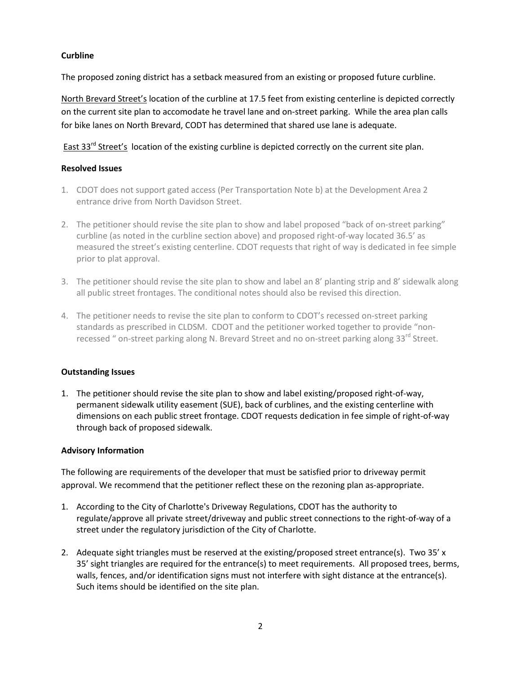### **Curbline**

The proposed zoning district has a setback measured from an existing or proposed future curbline.

North Brevard Street's location of the curbline at 17.5 feet from existing centerline is depicted correctly on the current site plan to accomodate he travel lane and on-street parking. While the area plan calls for bike lanes on North Brevard, CODT has determined that shared use lane is adequate.

East 33<sup>rd</sup> Street's location of the existing curbline is depicted correctly on the current site plan.

#### **Resolved Issues**

- 1. CDOT does not support gated access (Per Transportation Note b) at the Development Area 2 entrance drive from North Davidson Street.
- 2. The petitioner should revise the site plan to show and label proposed "back of on-street parking" curbline (as noted in the curbline section above) and proposed right-of-way located 36.5' as measured the street's existing centerline. CDOT requests that right of way is dedicated in fee simple prior to plat approval.
- 3. The petitioner should revise the site plan to show and label an 8' planting strip and 8' sidewalk along all public street frontages. The conditional notes should also be revised this direction.
- 4. The petitioner needs to revise the site plan to conform to CDOT's recessed on-street parking standards as prescribed in CLDSM. CDOT and the petitioner worked together to provide "nonrecessed " on-street parking along N. Brevard Street and no on-street parking along 33<sup>rd</sup> Street.

# **Outstanding Issues**

1. The petitioner should revise the site plan to show and label existing/proposed right-of-way, permanent sidewalk utility easement (SUE), back of curblines, and the existing centerline with dimensions on each public street frontage. CDOT requests dedication in fee simple of right-of-way through back of proposed sidewalk.

# **Advisory Information**

The following are requirements of the developer that must be satisfied prior to driveway permit approval. We recommend that the petitioner reflect these on the rezoning plan as-appropriate.

- 1. According to the City of Charlotte's Driveway Regulations, CDOT has the authority to regulate/approve all private street/driveway and public street connections to the right-of-way of a street under the regulatory jurisdiction of the City of Charlotte.
- 2. Adequate sight triangles must be reserved at the existing/proposed street entrance(s). Two 35' x 35' sight triangles are required for the entrance(s) to meet requirements. All proposed trees, berms, walls, fences, and/or identification signs must not interfere with sight distance at the entrance(s). Such items should be identified on the site plan.